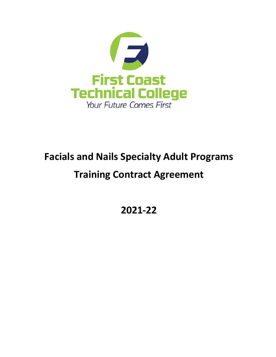

# **Facials and Nails Specialty Adult Programs**

# **Training Contract Agreement**

**2021-22**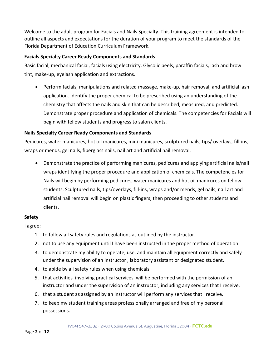Welcome to the adult program for Facials and Nails Specialty. This training agreement is intended to outline all aspects and expectations for the duration of your program to meet the standards of the Florida Department of Education Curriculum Framework.

# **Facials Specialty Career Ready Components and Standards**

Basic facial, mechanical facial, facials using electricity, Glycolic peels, paraffin facials, lash and brow tint, make-up, eyelash application and extractions.

• Perform facials, manipulations and related massage, make-up, hair removal, and artificial lash application. Identify the proper chemical to be prescribed using an understanding of the chemistry that affects the nails and skin that can be described, measured, and predicted. Demonstrate proper procedure and application of chemicals. The competencies for Facials will begin with fellow students and progress to salon clients.

# **Nails Specialty Career Ready Components and Standards**

Pedicures, water manicures, hot oil manicures, mini manicures, sculptured nails, tips/ overlays, fill-ins, wraps or mends, gel nails, fiberglass nails, nail art and artificial nail removal.

• Demonstrate the practice of performing manicures, pedicures and applying artificial nails/nail wraps identifying the proper procedure and application of chemicals. The competencies for Nails will begin by performing pedicures, water manicures and hot oil manicures on fellow students. Sculptured nails, tips/overlays, fill-ins, wraps and/or mends, gel nails, nail art and artificial nail removal will begin on plastic fingers, then proceeding to other students and clients.

# **Safety**

I agree:

- 1. to follow all safety rules and regulations as outlined by the instructor.
- 2. not to use any equipment until I have been instructed in the proper method of operation.
- 3. to demonstrate my ability to operate, use, and maintain all equipment correctly and safely under the supervision of an instructor , laboratory assistant or designated student.
- 4. to abide by all safety rules when using chemicals.
- 5. that activities involving practical services will be performed with the permission of an instructor and under the supervision of an instructor, including any services that I receive.
- 6. that a student as assigned by an instructor will perform any services that I receive.
- 7. to keep my student training areas professionally arranged and free of my personal possessions.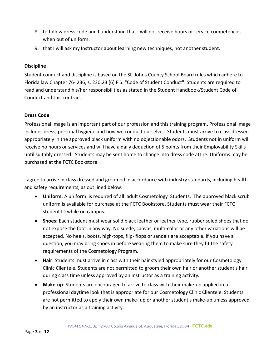- 8. to follow dress code and I understand that I will not receive hours or service competencies when out of uniform.
- 9. that I will ask my Instructor about learning new techniques, not another student.

# **Discipline**

Student conduct and discipline is based on the St. Johns County School Board rules which adhere to Florida law Chapter 76- 236, s. 230.23 (6) F.S. "Code of Student Conduct". Students are required to read and understand his/her responsibilities as stated in the Student Handbook/Student Code of Conduct and this contract.

# **Dress Code**

Professional image is an important part of our profession and this training program. Professional image includes dress, personal hygiene and how we conduct ourselves. Students must arrive to class dressed appropriately in the approved black uniform with no objectionable odors. Students not in uniform will receive no hours or services and will have a daily deduction of 5 points from their Employability Skills until suitably dressed . Students may be sent home to change into dress code attire. Uniforms may be purchased at the FCTC Bookstore.

I agree to arrive in class dressed and groomed in accordance with industry standards, including health and safety requirements, as out lined below:

- **Uniform**: A uniform is required of all adult Cosmetology Students. The approved black scrub uniform is available for purchase at the FCTC Bookstore. Students must wear their FCTC student ID while on campus.
- **Shoes**: Each student must wear solid black leather or leather type, rubber soled shoes that do not expose the foot in any way. No suede, canvas, multi-color or any other variations will be accepted. No heels, boots, high-tops, flip- flops or sandals are acceptable. If you have a question, you may bring shoes in before wearing them to make sure they fit the safety requirements of the Cosmetology Program.
- **Hair**: Students must arrive in class with their hair styled appropriately for our Cosmetology Clinic Clientele. Students are not permitted to groom their own hair or another student's hair during class time unless approved by an instructor as a training activity**.**
- **Make-up**: Students are encouraged to arrive to class with their make-up applied in a professional daytime look that is appropriate for our Cosmetology Clinic Clientele. Students are not permitted to apply their own make- up or another student's make-up unless approved by an instructor as a training activity.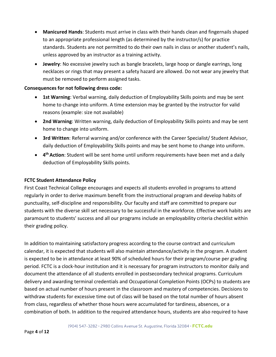- **Manicured Hands**: Students must arrive in class with their hands clean and fingernails shaped to an appropriate professional length (as determined by the instructor/s) for practice standards. Students are not permitted to do their own nails in class or another student's nails, unless approved by an instructor as a training activity.
- **Jewelry**: No excessive jewelry such as bangle bracelets, large hoop or dangle earrings, long necklaces or rings that may present a safety hazard are allowed. Do not wear any jewelry that must be removed to perform assigned tasks.

#### **Consequences for not following dress code:**

- **1st Warning**: Verbal warning, daily deduction of Employability Skills points and may be sent home to change into uniform. A time extension may be granted by the instructor for valid reasons (example: size not available)
- **2nd Warning**: Written warning, daily deduction of Employability Skills points and may be sent home to change into uniform.
- **3rd Written**: Referral warning and/or conference with the Career Specialist/ Student Advisor, daily deduction of Employability Skills points and may be sent home to change into uniform.
- **4th Action**: Student will be sent home until uniform requirements have been met and a daily deduction of Employability Skills points.

## **FCTC Student Attendance Policy**

First Coast Technical College encourages and expects all students enrolled in programs to attend regularly in order to derive maximum benefit from the instructional program and develop habits of punctuality, self-discipline and responsibility. Our faculty and staff are committed to prepare our students with the diverse skill set necessary to be successful in the workforce. Effective work habits are paramount to students' success and all our programs include an employability criteria checklist within their grading policy.

In addition to maintaining satisfactory progress according to the course contract and curriculum calendar, it is expected that students will also maintain attendance/activity in the program. A student is expected to be in attendance at least 90% of scheduled hours for their program/course per grading period. FCTC is a clock-hour institution and it is necessary for program instructors to monitor daily and document the attendance of all students enrolled in postsecondary technical programs. Curriculum delivery and awarding terminal credentials and Occupational Completion Points (OCPs) to students are based on actual number of hours present in the classroom and mastery of competencies. Decisions to withdraw students for excessive time out of class will be based on the total number of hours absent from class, regardless of whether those hours were accumulated for tardiness, absences, or a combination of both. In addition to the required attendance hours, students are also required to have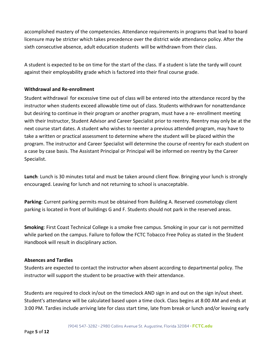accomplished mastery of the competencies. Attendance requirements in programs that lead to board licensure may be stricter which takes precedence over the district wide attendance policy. After the sixth consecutive absence, adult education students will be withdrawn from their class.

A student is expected to be on time for the start of the class. If a student is late the tardy will count against their employability grade which is factored into their final course grade.

# **Withdrawal and Re-enrollment**

Student withdrawal for excessive time out of class will be entered into the attendance record by the instructor when students exceed allowable time out of class. Students withdrawn for nonattendance but desiring to continue in their program or another program, must have a re- enrollment meeting with their Instructor, Student Advisor and Career Specialist prior to reentry. Reentry may only be at the next course start dates. A student who wishes to reenter a previous attended program, may have to take a written or practical assessment to determine where the student will be placed within the program. The instructor and Career Specialist will determine the course of reentry for each student on a case by case basis. The Assistant Principal or Principal will be informed on reentry by the Career Specialist.

**Lunch**: Lunch is 30 minutes total and must be taken around client flow. Bringing your lunch is strongly encouraged. Leaving for lunch and not returning to school is unacceptable.

**Parking**: Current parking permits must be obtained from Building A. Reserved cosmetology client parking is located in front of buildings G and F. Students should not park in the reserved areas.

**Smoking**: First Coast Technical College is a smoke free campus. Smoking in your car is not permitted while parked on the campus. Failure to follow the FCTC Tobacco Free Policy as stated in the Student Handbook will result in disciplinary action.

# **Absences and Tardies**

Students are expected to contact the instructor when absent according to departmental policy. The instructor will support the student to be proactive with their attendance.

Students are required to clock in/out on the timeclock AND sign in and out on the sign in/out sheet. Student's attendance will be calculated based upon a time clock. Class begins at 8:00 AM and ends at 3:00 PM. Tardies include arriving late for class start time, late from break or lunch and/or leaving early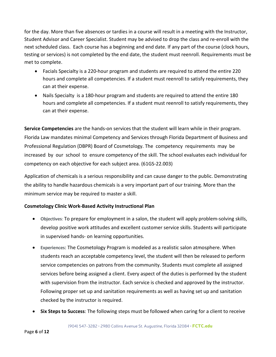for the day. More than five absences or tardies in a course will result in a meeting with the Instructor, Student Advisor and Career Specialist. Student may be advised to drop the class and re-enroll with the next scheduled class. Each course has a beginning and end date. If any part of the course (clock hours, testing or services) is not completed by the end date, the student must reenroll. Requirements must be met to complete.

- Facials Specialty is a 220-hour program and students are required to attend the entire 220 hours and complete all competencies. If a student must reenroll to satisfy requirements, they can at their expense.
- Nails Specialty is a 180-hour program and students are required to attend the entire 180 hours and complete all competencies. If a student must reenroll to satisfy requirements, they can at their expense.

**Service Competencies** are the hands-on services that the student will learn while in their program. Florida Law mandates minimal Competency and Services through Florida Department of Business and Professional Regulation (DBPR) Board of Cosmetology. The competency requirements may be increased by our school to ensure competency of the skill. The school evaluates each individual for competency on each objective for each subject area. (61GS-22.003)

Application of chemicals is a serious responsibility and can cause danger to the public. Demonstrating the ability to handle hazardous chemicals is a very important part of our training. More than the minimum service may be required to master a skill.

# **Cosmetology Clinic Work-Based Activity Instructional Plan**

- **Objectives**: To prepare for employment in a salon, the student will apply problem-solving skills, develop positive work attitudes and excellent customer service skills. Students will participate in supervised hands- on learning opportunities.
- **Experiences**: The Cosmetology Program is modeled as a realistic salon atmosphere. When students reach an acceptable competency level, the student will then be released to perform service competencies on patrons from the community. Students must complete all assigned services before being assigned a client. Every aspect of the duties is performed by the student with supervision from the instructor. Each service is checked and approved by the instructor. Following proper set up and sanitation requirements as well as having set up and sanitation checked by the instructor is required.
- **Six Steps to Success**: The following steps must be followed when caring for a client to receive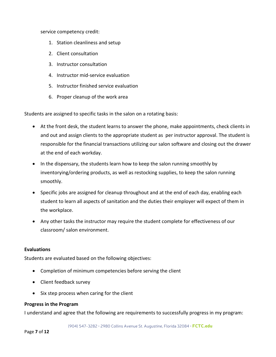service competency credit:

- 1. Station cleanliness and setup
- 2. Client consultation
- 3. Instructor consultation
- 4. Instructor mid-service evaluation
- 5. Instructor finished service evaluation
- 6. Proper cleanup of the work area

Students are assigned to specific tasks in the salon on a rotating basis:

- At the front desk, the student learns to answer the phone, make appointments, check clients in and out and assign clients to the appropriate student as per instructor approval. The student is responsible for the financial transactions utilizing our salon software and closing out the drawer at the end of each workday.
- In the dispensary, the students learn how to keep the salon running smoothly by inventorying/ordering products, as well as restocking supplies, to keep the salon running smoothly.
- Specific jobs are assigned for cleanup throughout and at the end of each day, enabling each student to learn all aspects of sanitation and the duties their employer will expect of them in the workplace.
- Any other tasks the instructor may require the student complete for effectiveness of our classroom/ salon environment.

#### **Evaluations**

Students are evaluated based on the following objectives:

- Completion of minimum competencies before serving the client
- Client feedback survey
- Six step process when caring for the client

#### **Progress in the Program**

I understand and agree that the following are requirements to successfully progress in my program: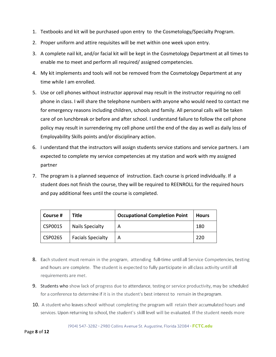- 1. Textbooks and kit will be purchased upon entry to the Cosmetology/Specialty Program.
- 2. Proper uniform and attire requisites will be met within one week upon entry.
- 3. A complete nail kit, and/or facial kit will be kept in the Cosmetology Department at all times to enable me to meet and perform all required/ assigned competencies.
- 4. My kit implements and tools will not be removed from the Cosmetology Department at any time while I am enrolled.
- 5. Use or cell phones without instructor approval may result in the instructor requiring no cell phone in class. I will share the telephone numbers with anyone who would need to contact me for emergency reasons including children, schools and family. All personal calls will be taken care of on lunchbreak or before and after school. I understand failure to follow the cell phone policy may result in surrendering my cell phone until the end of the day as well as daily loss of Employability Skills points and/or disciplinary action.
- 6. I understand that the instructors will assign students service stations and service partners. I am expected to complete my service competencies at my station and work with my assigned partner
- 7. The program is a planned sequence of instruction. Each course is priced individually. If a student does not finish the course, they will be required to REENROLL for the required hours and pay additional fees until the course is completed.

| Course # | <b>Title</b>             | <b>Occupational Completion Point</b> | <b>Hours</b> |
|----------|--------------------------|--------------------------------------|--------------|
| CSP0015  | <b>Nails Specialty</b>   |                                      | 180          |
| CSP0265  | <b>Facials Specialty</b> |                                      | 220          |

- 8. Each student must remain in the program, attending full-time until all Service Competencies, testing and hours are complete. The student is expected to fully participate in all class activity untill all requirements are met.
- 9. Students who show lack of progress due to attendance, testing or service productivity, may be scheduled for a conference to determine if it is in the student's best interest to remain in the program.
- 10. A student who leaves school without completing the program will retain their accumulated hours and services. Upon returning to school, the student's skill level will be evaluated. If the student needs more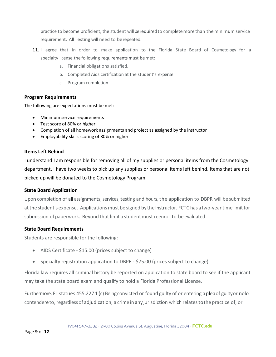practice to become proficient, the student will berequired to complete more than the minimum service requirement. All Testing will need to be repeated.

- 11. I agree that in order to make application to the Florida State Board of Cosmetology for a specialty license,the following requirements must bemet:
	- a. Financial obligations satisfied.
	- b. Completed Aids certification at the student's expense
	- c. Program completion

#### **Program Requirements**

The following are expectations must be met:

- Minimum service requirements
- Test score of 80% or higher
- Completion of all homework assignments and project as assigned by the instructor
- Employability skills scoring of 80% or higher

#### **Items Left Behind**

I understand I am responsible for removing all of my supplies or personal items from the Cosmetology department. I have two weeks to pick up any supplies or personal items left behind. Items that are not picked up will be donated to the Cosmetology Program.

# **State Board Application**

Upon completion of all assignments, services, testing and hours, the application to DBPR will be submitted at the student's expense. Applications must be signed by the Instructor. FCTC has a two-year time limit for submission of paperwork. Beyond that limit a student must reenroll to be evaluated.

# **State Board Requirements**

Students are responsible for the following:

- AIDS Certificate \$15.00 (prices subject to change)
- Specialty registration application to DBPR \$75.00 (prices subject to change)

Florida law requires all criminal history be reported on application to state board to see if the applicant may take the state board exam and qualify to hold a Florida Professional License.

Furthermore, FL statues 455.227 1 (c) Being convicted or found guilty of or entering a pleaof guiltyor nolo contendereto, regardlessof adjudication, a crime in anyjurisdiction which relatestothe practice of, or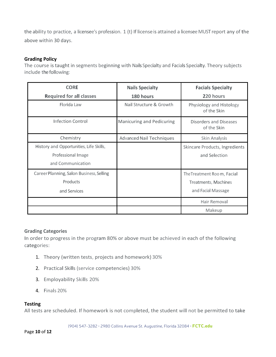the ability to practice, a licensee's profession. 1 (t) If license is attained a licensee MUST report any of the above within 30 days.

## **Grading Policy**

The course is taught in segments beginning with Nails Specialty and Facials Specialty. Theory subjects include the following:

| <b>CORE</b>                              | <b>Nails Specialty</b>          | <b>Facials Specialty</b>                |
|------------------------------------------|---------------------------------|-----------------------------------------|
| <b>Required for all classes</b>          | 180 hours                       | 220 hours                               |
| Florida Law                              | Nail Structure & Growth         | Physiology and Histology<br>of the Skin |
| Infection Control                        | Manicuring and Pedicuring       | Disorders and Diseases<br>of the Skin   |
| Chemistry                                | <b>Advanced Nail Techniques</b> | Skin Analysis                           |
| History and Opportunities, Life Skills,  |                                 | Skincare Products, Ingredients          |
| Professional Image                       |                                 | and Selection                           |
| and Communication                        |                                 |                                         |
| Career Planning, Salon Business, Selling |                                 | The Treatment Room, Facial              |
| Products                                 |                                 | Treatments, Machines                    |
| and Services                             |                                 | and Facial Massage                      |
|                                          |                                 | Hair Removal                            |
|                                          |                                 | Makeup                                  |

#### **Grading Categories**

In order to progress in the program 80% or above must be achieved in each of the following categories:

- 1. Theory (written tests, projects and homework) 30%
- 2. Practical Skills (service competencies) 30%
- 3. Employability Skills 20%
- 4. Finals 20%

# **Testing**

All tests are scheduled. If homework is not completed, the student will not be permitted to take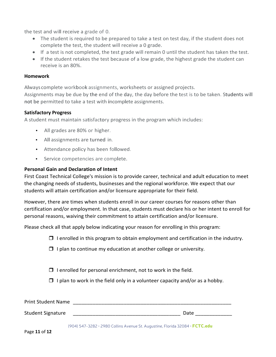the test and will receive a grade of 0.

- The student is required to be prepared to take a test on test day, if the student does not complete the test, the student will receive a 0 grade.
- If a test is not completed, the test grade will remain 0 until the student has taken the test.
- If the student retakes the test because of a low grade, the highest grade the student can receive is an 80%.

#### **Homework**

Always complete workbook assignments, worksheets or assigned projects.

Assignments may be due by the end of the day, the day before the test is to be taken. Students will not be permitted to take a test with incomplete assignments.

#### **Satisfactory Progress**

A student must maintain satisfactory progress in the program which includes:

- All grades are 80% or higher.
- All assignments are turned in.
- Attendance policy has been followed.
- Service competencies are complete.

#### **Personal Gain and Declaration of Intent**

First Coast Technical College's mission is to provide career, technical and adult education to meet the changing needs of students, businesses and the regional workforce. We expect that our students will attain certification and/or licensure appropriate for their field.

However, there are times when students enroll in our career courses for reasons other than certification and/or employment. In that case, students must declare his or her intent to enroll for personal reasons, waiving their commitment to attain certification and/or licensure.

Please check all that apply below indicating your reason for enrolling in this program:

- $\Box$  I enrolled in this program to obtain employment and certification in the industry.
- $\Box$  I plan to continue my education at another college or university.
- $\Box$  I enrolled for personal enrichment, not to work in the field.
- $\Box$  I plan to work in the field only in a volunteer capacity and/or as a hobby.

| <b>Print Student Name</b> |      |
|---------------------------|------|
| <b>Student Signature</b>  | Date |

(904) 547-3282 • 2980 Collins Avenue St. Augustine, Florida 32084 • FCTC.edu